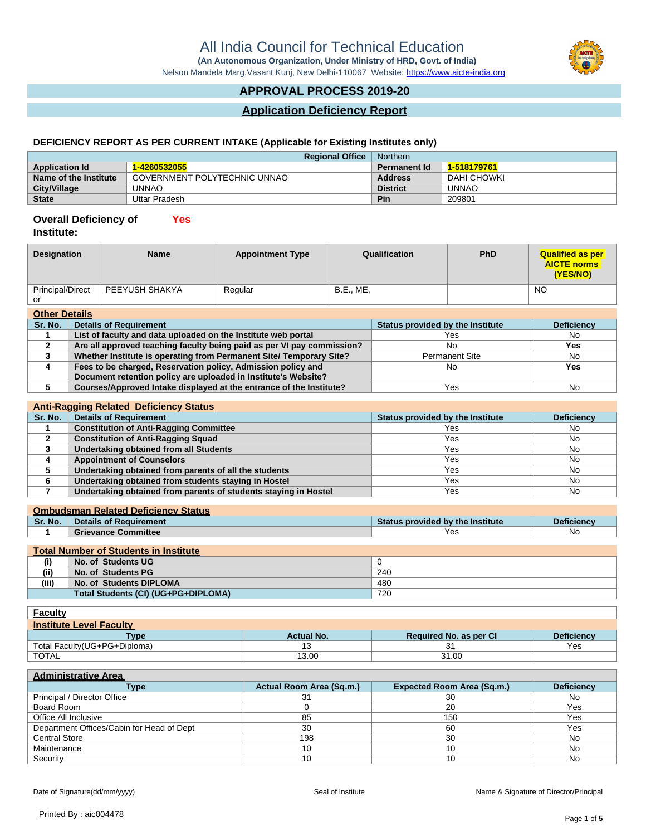**(An Autonomous Organization, Under Ministry of HRD, Govt. of India)**

Nelson Mandela Marg,Vasant Kunj, New Delhi-110067 Website:<https://www.aicte-india.org>

# **APPROVAL PROCESS 2019-20**

# **Application Deficiency Report**

# **DEFICIENCY REPORT AS PER CURRENT INTAKE (Applicable for Existing Institutes only)**

| <b>Regional Office</b> |                              | Northern            |              |
|------------------------|------------------------------|---------------------|--------------|
| <b>Application Id</b>  | 1-4260532055                 | <b>Permanent Id</b> | 1-518179761  |
| Name of the Institute  | GOVERNMENT POLYTECHNIC UNNAO | <b>Address</b>      | DAHI CHOWKI  |
| <b>City/Village</b>    | UNNAO                        | <b>District</b>     | <b>UNNAO</b> |
| <b>State</b>           | Uttar Pradesh                | Pin                 | 209801       |

#### **Overall Deficiency of Yes**

| Institute: |  |
|------------|--|
|            |  |

| Designation             | <b>Name</b>    | <b>Appointment Type</b> | Qualification    | <b>PhD</b> | <b>Qualified as per</b><br><b>AICTE norms</b><br>(YES/NO) |
|-------------------------|----------------|-------------------------|------------------|------------|-----------------------------------------------------------|
| <b>Principal/Direct</b> | PEEYUSH SHAKYA | Regular                 | <b>B.E., ME.</b> |            | <b>NO</b>                                                 |
| or                      |                |                         |                  |            |                                                           |
| <b>Other Details</b>    |                |                         |                  |            |                                                           |

| Sr. No. | <b>Details of Requirement</b>                                          | Status provided by the Institute | <b>Deficiency</b> |
|---------|------------------------------------------------------------------------|----------------------------------|-------------------|
|         | List of faculty and data uploaded on the Institute web portal          | Yes                              | No                |
|         | Are all approved teaching faculty being paid as per VI pay commission? | No                               | Yes.              |
|         | Whether Institute is operating from Permanent Site/ Temporary Site?    | <b>Permanent Site</b>            | No                |
|         | Fees to be charged, Reservation policy, Admission policy and           | No                               | Yes               |
|         | Document retention policy are uploaded in Institute's Website?         |                                  |                   |
|         | Courses/Approved Intake displayed at the entrance of the Institute?    | Yes                              | No                |

### **Anti-Ragging Related Deficiency Status**

| Sr. No. | <b>Details of Requirement</b>                                   | Status provided by the Institute | <b>Deficiency</b> |
|---------|-----------------------------------------------------------------|----------------------------------|-------------------|
|         | <b>Constitution of Anti-Ragging Committee</b>                   | Yes                              | No.               |
|         | <b>Constitution of Anti-Ragging Squad</b>                       | Yes                              | No                |
|         | Undertaking obtained from all Students                          | Yes                              | No                |
|         | <b>Appointment of Counselors</b>                                | Yes                              | No                |
|         | Undertaking obtained from parents of all the students           | Yes                              | No                |
|         | Undertaking obtained from students staying in Hostel            | Yes                              | No                |
|         | Undertaking obtained from parents of students staying in Hostel | Yes                              | No                |

### **Ombudsman Related Deficiency Status**

| Sr. No.   | <b>Details of Requirement</b> | Status provided by the Institute | Deficiencv |
|-----------|-------------------------------|----------------------------------|------------|
|           | <b>Grievance Committee</b>    | Yes                              | No         |
|           |                               |                                  |            |
| _________ |                               |                                  |            |

| <b>Total Number of Students in Institute</b> |                                     |     |
|----------------------------------------------|-------------------------------------|-----|
| (i)                                          | No. of Students UG                  |     |
| (ii)                                         | No. of Students PG                  | 240 |
| (iii)                                        | No. of Students DIPLOMA             | 480 |
|                                              | Total Students (CI) (UG+PG+DIPLOMA) | 720 |

| <b>Faculty</b>                 |                   |                        |                   |
|--------------------------------|-------------------|------------------------|-------------------|
| <b>Institute Level Faculty</b> |                   |                        |                   |
| Type                           | <b>Actual No.</b> | Required No. as per CI | <b>Deficiency</b> |
| Total Faculty (UG+PG+Diploma)  |                   |                        | Yes               |
| <b>TOTAL</b>                   | 13.00             | 31.00                  |                   |

# **Administrative Area**

| Type                                      | Actual Room Area (Sq.m.) | <b>Expected Room Area (Sq.m.)</b> | <b>Deficiency</b> |
|-------------------------------------------|--------------------------|-----------------------------------|-------------------|
| Principal / Director Office               | ا ت                      | 30                                | No.               |
| Board Room                                |                          | 20                                | Yes               |
| Office All Inclusive                      | 85                       | 150                               | Yes               |
| Department Offices/Cabin for Head of Dept | 30                       | 60                                | Yes               |
| <b>Central Store</b>                      | 198                      | 30                                | No                |
| Maintenance                               |                          |                                   | No                |
| Security                                  |                          |                                   | No                |

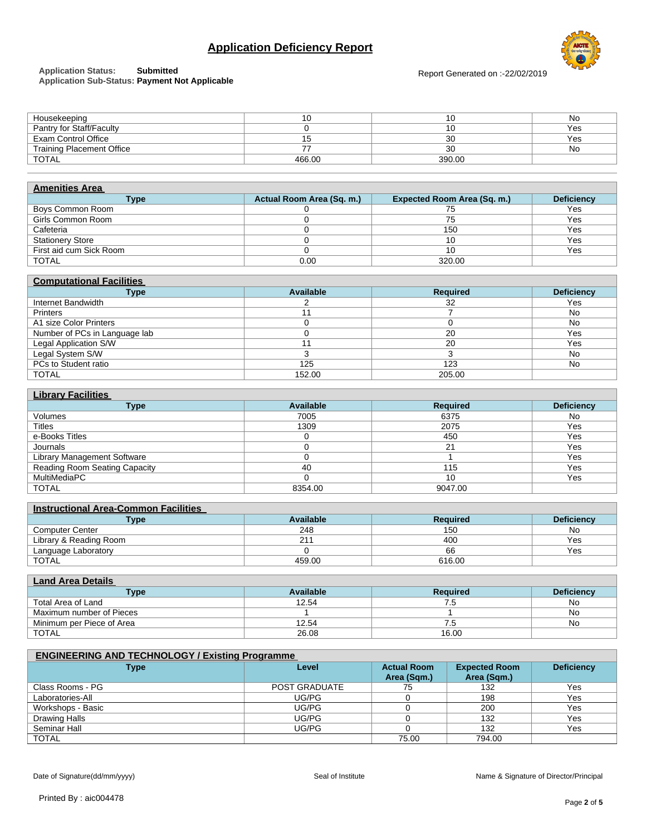# **Application Deficiency Report**



# **Application Status: Submitted**

**Application Sub-Status: Payment Not Applicable**

Report Generated on :-22/02/2019

| Housekeeping                     |        | שו     | No  |
|----------------------------------|--------|--------|-----|
| Pantry for Staff/Faculty         |        | שו     | Yes |
| Exam Control Office              |        | 30     | Yes |
| <b>Training Placement Office</b> |        | 30     | No  |
| <b>TOTAL</b>                     | 466.00 | 390.00 |     |
|                                  |        |        |     |

| <b>Amenities Area</b>   |                           |                                    |                   |
|-------------------------|---------------------------|------------------------------------|-------------------|
| <b>Type</b>             | Actual Room Area (Sq. m.) | <b>Expected Room Area (Sq. m.)</b> | <b>Deficiency</b> |
| Boys Common Room        |                           | 75                                 | Yes               |
| Girls Common Room       |                           | 75                                 | Yes               |
| Cafeteria               |                           | 150                                | Yes               |
| <b>Stationery Store</b> |                           | 10                                 | Yes               |
| First aid cum Sick Room |                           | 10                                 | Yes               |
| <b>TOTAL</b>            | 0.00                      | 320.00                             |                   |

| <b>Computational Facilities</b> |           |                 |                   |  |
|---------------------------------|-----------|-----------------|-------------------|--|
| <b>Type</b>                     | Available | <b>Required</b> | <b>Deficiency</b> |  |
| Internet Bandwidth              |           | 32              | Yes               |  |
| <b>Printers</b>                 |           |                 | No                |  |
| A1 size Color Printers          |           |                 | No                |  |
| Number of PCs in Language lab   |           | 20              | Yes               |  |
| <b>Legal Application S/W</b>    |           | 20              | Yes               |  |
| Legal System S/W                |           |                 | No                |  |
| PCs to Student ratio            | 125       | 123             | No                |  |
| <b>TOTAL</b>                    | 152.00    | 205.00          |                   |  |

| <b>Library Facilities</b>     |           |                 |                   |  |
|-------------------------------|-----------|-----------------|-------------------|--|
| Type                          | Available | <b>Required</b> | <b>Deficiency</b> |  |
| Volumes                       | 7005      | 6375            | No.               |  |
| Titles                        | 1309      | 2075            | Yes               |  |
| e-Books Titles                |           | 450             | Yes               |  |
| Journals                      |           | 21              | Yes               |  |
| Library Management Software   |           |                 | Yes               |  |
| Reading Room Seating Capacity | 40        | 115             | Yes               |  |
| MultiMediaPC                  |           | 10              | Yes               |  |
| <b>TOTAL</b>                  | 8354.00   | 9047.00         |                   |  |

| <b>Instructional Area-Common Facilities</b> |                 |                   |  |
|---------------------------------------------|-----------------|-------------------|--|
| Available                                   | <b>Required</b> | <b>Deficiency</b> |  |
| 248                                         | 150             | No                |  |
| 211                                         | 400             | Yes               |  |
|                                             | 66              | Yes               |  |
| 459.00                                      | 616.00          |                   |  |
|                                             |                 |                   |  |

| <b>Land Area Details</b>  |           |          |                   |  |
|---------------------------|-----------|----------|-------------------|--|
| Type                      | Available | Reauired | <b>Deficiency</b> |  |
| Total Area of Land        | 12.54     | 6.5      | No.               |  |
| Maximum number of Pieces  |           |          | No.               |  |
| Minimum per Piece of Area | 12.54     | ′.5      | No                |  |
| <b>TOTAL</b>              | 26.08     | 16.00    |                   |  |

| <b>ENGINEERING AND TECHNOLOGY / Existing Programme</b> |                      |                                   |                                     |                   |
|--------------------------------------------------------|----------------------|-----------------------------------|-------------------------------------|-------------------|
| Type                                                   | Level                | <b>Actual Room</b><br>Area (Sqm.) | <b>Expected Room</b><br>Area (Sqm.) | <b>Deficiency</b> |
| Class Rooms - PG                                       | <b>POST GRADUATE</b> | 75                                | 132                                 | Yes               |
| Laboratories-All                                       | UG/PG                |                                   | 198                                 | Yes               |
| Workshops - Basic                                      | UG/PG                |                                   | 200                                 | Yes               |
| Drawing Halls                                          | UG/PG                |                                   | 132                                 | Yes               |
| Seminar Hall                                           | UG/PG                |                                   | 132                                 | Yes               |
| TOTAL                                                  |                      | 75.00                             | 794.00                              |                   |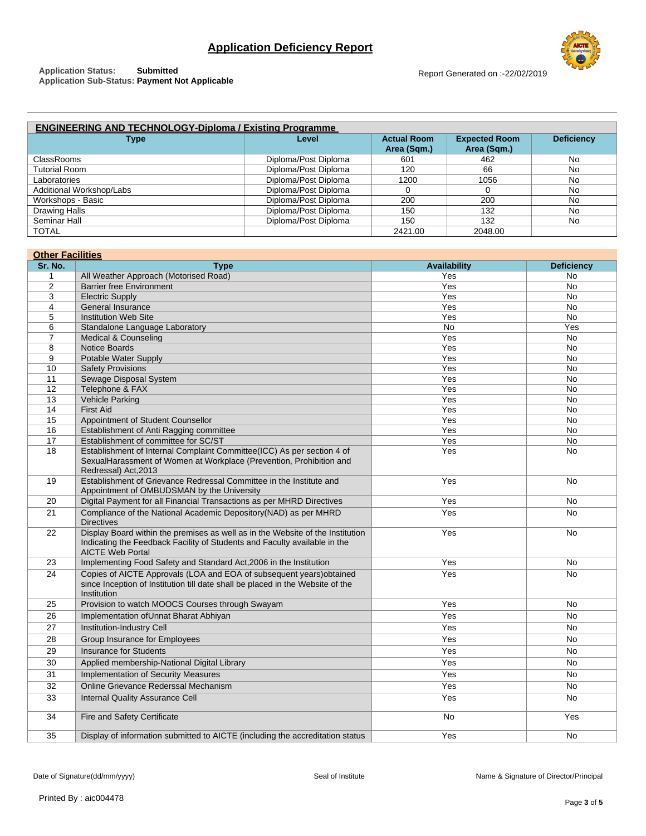**Application Status: Submitted Application Sub-Status: Payment Not Applicable**



| <b>ENGINEERING AND TECHNOLOGY-Diploma / Existing Programme</b> |                      |                                   |                                     |                   |
|----------------------------------------------------------------|----------------------|-----------------------------------|-------------------------------------|-------------------|
| <b>Type</b>                                                    | <b>Level</b>         | <b>Actual Room</b><br>Area (Sqm.) | <b>Expected Room</b><br>Area (Sqm.) | <b>Deficiency</b> |
| <b>ClassRooms</b>                                              | Diploma/Post Diploma | 601                               | 462                                 | <b>No</b>         |
| <b>Tutorial Room</b>                                           | Diploma/Post Diploma | 120                               | 66                                  | No                |
| Laboratories                                                   | Diploma/Post Diploma | 1200                              | 1056                                | No                |
| Additional Workshop/Labs                                       | Diploma/Post Diploma |                                   |                                     | No                |
| Workshops - Basic                                              | Diploma/Post Diploma | 200                               | 200                                 | No                |
| Drawing Halls                                                  | Diploma/Post Diploma | 150                               | 132                                 | No                |
| Seminar Hall                                                   | Diploma/Post Diploma | 150                               | 132                                 | No                |

TOTAL 2421.00 2048.00

| <b>Other Facilities</b> |                                                                                      |                     |                   |  |
|-------------------------|--------------------------------------------------------------------------------------|---------------------|-------------------|--|
| Sr. No.                 | <b>Type</b>                                                                          | <b>Availability</b> | <b>Deficiency</b> |  |
| $\mathbf{1}$            | All Weather Approach (Motorised Road)                                                | Yes                 | No                |  |
| $\overline{2}$          | <b>Barrier free Environment</b>                                                      | Yes                 | <b>No</b>         |  |
| 3                       | <b>Electric Supply</b>                                                               | Yes                 | <b>No</b>         |  |
| 4                       | General Insurance                                                                    | Yes                 | No                |  |
| 5                       | <b>Institution Web Site</b>                                                          | Yes                 | No                |  |
| 6                       | Standalone Language Laboratory                                                       | <b>No</b>           | Yes               |  |
| 7                       | Medical & Counseling                                                                 | Yes                 | <b>No</b>         |  |
| 8                       | <b>Notice Boards</b>                                                                 | Yes                 | No                |  |
| 9                       | Potable Water Supply                                                                 | Yes                 | No                |  |
| 10<br>11                | <b>Safety Provisions</b><br>Sewage Disposal System                                   | Yes<br>Yes          | No<br><b>No</b>   |  |
| 12                      | Telephone & FAX                                                                      | Yes                 | <b>No</b>         |  |
| 13                      | <b>Vehicle Parking</b>                                                               | Yes                 | No                |  |
| 14                      | <b>First Aid</b>                                                                     | Yes                 | No                |  |
| 15                      | Appointment of Student Counsellor                                                    | Yes                 | <b>No</b>         |  |
| 16                      | Establishment of Anti Ragging committee                                              | Yes                 | No.               |  |
| 17                      | Establishment of committee for SC/ST                                                 | Yes                 | No                |  |
| 18                      | Establishment of Internal Complaint Committee(ICC) As per section 4 of               | Yes                 | No.               |  |
|                         | SexualHarassment of Women at Workplace (Prevention, Prohibition and                  |                     |                   |  |
|                         | Redressal) Act, 2013                                                                 |                     |                   |  |
| 19                      | Establishment of Grievance Redressal Committee in the Institute and                  | Yes                 | No.               |  |
|                         | Appointment of OMBUDSMAN by the University                                           |                     |                   |  |
| 20                      | Digital Payment for all Financial Transactions as per MHRD Directives                | Yes                 | <b>No</b>         |  |
| 21                      | Compliance of the National Academic Depository(NAD) as per MHRD<br><b>Directives</b> | Yes                 | No.               |  |
| 22                      | Display Board within the premises as well as in the Website of the Institution       | Yes                 | No                |  |
|                         | Indicating the Feedback Facility of Students and Faculty available in the            |                     |                   |  |
|                         | <b>AICTE Web Portal</b>                                                              |                     |                   |  |
| 23                      | Implementing Food Safety and Standard Act, 2006 in the Institution                   | Yes                 | <b>No</b>         |  |
| 24                      | Copies of AICTE Approvals (LOA and EOA of subsequent years) obtained                 | Yes                 | No                |  |
|                         | since Inception of Institution till date shall be placed in the Website of the       |                     |                   |  |
| 25                      | Institution<br>Provision to watch MOOCS Courses through Swayam                       | Yes                 | No.               |  |
| 26                      | Implementation of Unnat Bharat Abhiyan                                               | Yes                 | No                |  |
| 27                      | Institution-Industry Cell                                                            | Yes                 | <b>No</b>         |  |
|                         |                                                                                      | Yes                 |                   |  |
| 28                      | Group Insurance for Employees                                                        |                     | No                |  |
| 29                      | <b>Insurance for Students</b>                                                        | Yes                 | <b>No</b>         |  |
| 30                      | Applied membership-National Digital Library                                          | Yes                 | No.               |  |
| 31                      | <b>Implementation of Security Measures</b>                                           | Yes                 | No                |  |
| 32                      | Online Grievance Rederssal Mechanism                                                 | Yes                 | <b>No</b>         |  |
| 33                      | <b>Internal Quality Assurance Cell</b>                                               | Yes                 | No                |  |
| 34                      | Fire and Safety Certificate                                                          | No                  | Yes               |  |
| 35                      | Display of information submitted to AICTE (including the accreditation status        | Yes                 | <b>No</b>         |  |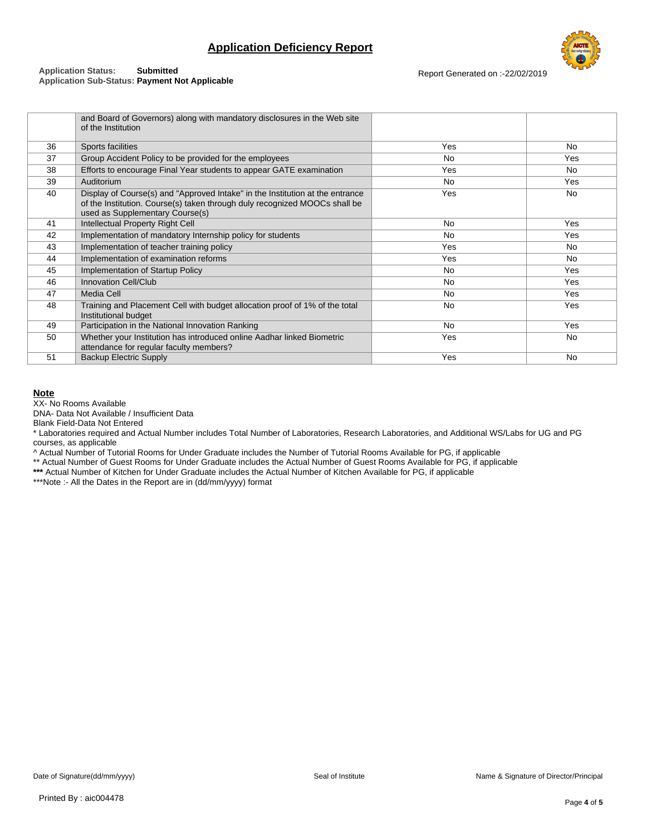

#### **Application Status: Submitted Application Sub-Status: Payment Not Applicable**

Report Generated on :-22/02/2019

|    | and Board of Governors) along with mandatory disclosures in the Web site<br>of the Institution                                                                                                 |           |           |
|----|------------------------------------------------------------------------------------------------------------------------------------------------------------------------------------------------|-----------|-----------|
| 36 | Sports facilities                                                                                                                                                                              | Yes       | No        |
| 37 | Group Accident Policy to be provided for the employees                                                                                                                                         | <b>No</b> | Yes       |
| 38 | Efforts to encourage Final Year students to appear GATE examination                                                                                                                            | Yes       | No        |
| 39 | Auditorium                                                                                                                                                                                     | <b>No</b> | Yes       |
| 40 | Display of Course(s) and "Approved Intake" in the Institution at the entrance<br>of the Institution. Course(s) taken through duly recognized MOOCs shall be<br>used as Supplementary Course(s) | Yes       | No        |
| 41 | Intellectual Property Right Cell                                                                                                                                                               | <b>No</b> | Yes       |
| 42 | Implementation of mandatory Internship policy for students                                                                                                                                     | <b>No</b> | Yes       |
| 43 | Implementation of teacher training policy                                                                                                                                                      | Yes       | <b>No</b> |
| 44 | Implementation of examination reforms                                                                                                                                                          | Yes       | <b>No</b> |
| 45 | Implementation of Startup Policy                                                                                                                                                               | <b>No</b> | Yes       |
| 46 | <b>Innovation Cell/Club</b>                                                                                                                                                                    | <b>No</b> | Yes       |
| 47 | <b>Media Cell</b>                                                                                                                                                                              | <b>No</b> | Yes       |
| 48 | Training and Placement Cell with budget allocation proof of 1% of the total<br>Institutional budget                                                                                            | <b>No</b> | Yes       |
| 49 | Participation in the National Innovation Ranking                                                                                                                                               | <b>No</b> | Yes       |
| 50 | Whether your Institution has introduced online Aadhar linked Biometric<br>attendance for regular faculty members?                                                                              | Yes       | No        |
| 51 | <b>Backup Electric Supply</b>                                                                                                                                                                  | Yes       | No        |

### **Note**

XX- No Rooms Available

DNA- Data Not Available / Insufficient Data

Blank Field-Data Not Entered

\* Laboratories required and Actual Number includes Total Number of Laboratories, Research Laboratories, and Additional WS/Labs for UG and PG courses, as applicable

^ Actual Number of Tutorial Rooms for Under Graduate includes the Number of Tutorial Rooms Available for PG, if applicable

\*\* Actual Number of Guest Rooms for Under Graduate includes the Actual Number of Guest Rooms Available for PG, if applicable

**\*\*\*** Actual Number of Kitchen for Under Graduate includes the Actual Number of Kitchen Available for PG, if applicable

\*\*\*Note :- All the Dates in the Report are in (dd/mm/yyyy) format